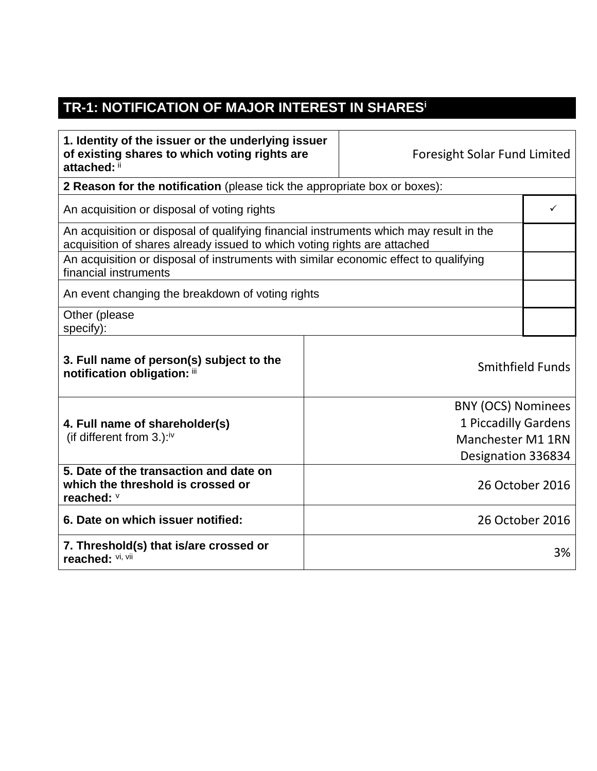## **TR-1: NOTIFICATION OF MAJOR INTEREST IN SHARES<sup>i</sup>**

 $\blacksquare$ 

| 1. Identity of the issuer or the underlying issuer<br>of existing shares to which voting rights are<br>attached: ii                                                |                      | <b>Foresight Solar Fund Limited</b> |   |
|--------------------------------------------------------------------------------------------------------------------------------------------------------------------|----------------------|-------------------------------------|---|
| 2 Reason for the notification (please tick the appropriate box or boxes):                                                                                          |                      |                                     |   |
| An acquisition or disposal of voting rights                                                                                                                        |                      |                                     | ✓ |
| An acquisition or disposal of qualifying financial instruments which may result in the<br>acquisition of shares already issued to which voting rights are attached |                      |                                     |   |
| An acquisition or disposal of instruments with similar economic effect to qualifying<br>financial instruments                                                      |                      |                                     |   |
| An event changing the breakdown of voting rights                                                                                                                   |                      |                                     |   |
| Other (please<br>specify):                                                                                                                                         |                      |                                     |   |
| 3. Full name of person(s) subject to the<br><b>Smithfield Funds</b><br>notification obligation: iii                                                                |                      |                                     |   |
|                                                                                                                                                                    |                      | <b>BNY (OCS) Nominees</b>           |   |
| 4. Full name of shareholder(s)                                                                                                                                     | 1 Piccadilly Gardens |                                     |   |
| (if different from $3.$ ): <sup>iv</sup>                                                                                                                           | Manchester M1 1RN    |                                     |   |
|                                                                                                                                                                    |                      | Designation 336834                  |   |
| 5. Date of the transaction and date on<br>which the threshold is crossed or<br>reached: V                                                                          | 26 October 2016      |                                     |   |
| 6. Date on which issuer notified:                                                                                                                                  | 26 October 2016      |                                     |   |
| 7. Threshold(s) that is/are crossed or<br>reached: VI, VII                                                                                                         |                      | 3%                                  |   |

┯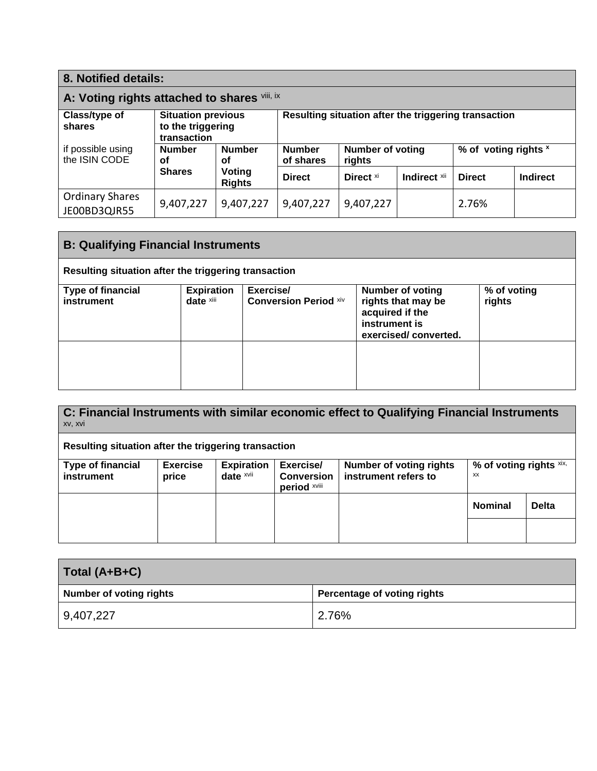| 8. Notified details:                         |                                                               |                     |                                                      |                                   |               |                      |  |
|----------------------------------------------|---------------------------------------------------------------|---------------------|------------------------------------------------------|-----------------------------------|---------------|----------------------|--|
| A: Voting rights attached to shares viii, ix |                                                               |                     |                                                      |                                   |               |                      |  |
| Class/type of<br>shares                      | <b>Situation previous</b><br>to the triggering<br>transaction |                     | Resulting situation after the triggering transaction |                                   |               |                      |  |
| if possible using<br>the ISIN CODE           | <b>Number</b><br>οf                                           | <b>Number</b><br>Οf |                                                      | <b>Number of voting</b><br>rights |               | % of voting rights x |  |
| <b>Shares</b>                                | Voting<br><b>Rights</b>                                       | <b>Direct</b>       | Direct <sup>xi</sup>                                 | Indirect <b>xii</b>               | <b>Direct</b> | <b>Indirect</b>      |  |
| <b>Ordinary Shares</b><br>JE00BD3QJR55       | 9,407,227                                                     | 9,407,227           | 9,407,227                                            | 9,407,227                         |               | 2.76%                |  |

| <b>B: Qualifying Financial Instruments</b>           |                                |                                           |                                                                                                           |                       |  |
|------------------------------------------------------|--------------------------------|-------------------------------------------|-----------------------------------------------------------------------------------------------------------|-----------------------|--|
| Resulting situation after the triggering transaction |                                |                                           |                                                                                                           |                       |  |
| <b>Type of financial</b><br>instrument               | <b>Expiration</b><br>date xiii | Exercise/<br><b>Conversion Period Xiv</b> | <b>Number of voting</b><br>rights that may be<br>acquired if the<br>instrument is<br>exercised/converted. | % of voting<br>rights |  |
|                                                      |                                |                                           |                                                                                                           |                       |  |

| C: Financial Instruments with similar economic effect to Qualifying Financial Instruments<br>xv, xvi |                          |                                |                                                |                                                        |                                  |              |
|------------------------------------------------------------------------------------------------------|--------------------------|--------------------------------|------------------------------------------------|--------------------------------------------------------|----------------------------------|--------------|
| Resulting situation after the triggering transaction                                                 |                          |                                |                                                |                                                        |                                  |              |
| <b>Type of financial</b><br>instrument                                                               | <b>Exercise</b><br>price | <b>Expiration</b><br>date xvii | Exercise/<br><b>Conversion</b><br>period xviii | <b>Number of voting rights</b><br>instrument refers to | % of voting rights $x$ ix,<br>XX |              |
|                                                                                                      |                          |                                |                                                |                                                        | <b>Nominal</b>                   | <b>Delta</b> |
|                                                                                                      |                          |                                |                                                |                                                        |                                  |              |

| Total (A+B+C)                  |                             |  |
|--------------------------------|-----------------------------|--|
| <b>Number of voting rights</b> | Percentage of voting rights |  |
| 9,407,227                      | 2.76%                       |  |